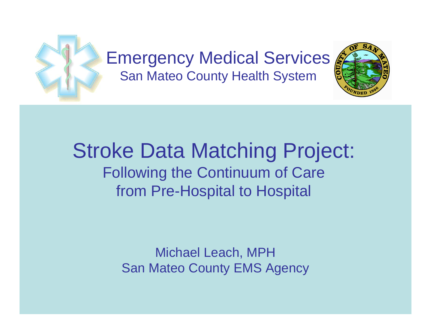

#### Stroke Data Matching Project: Following the Continuum of Care from Pre-Hospital to Hospital

Michael Leach, MPH San Mateo County EMS Agency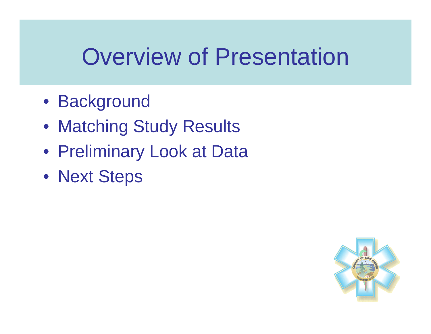## Overview of Presentation

- Background
- Matching Study Results
- Preliminary Look at Data
- Next Steps

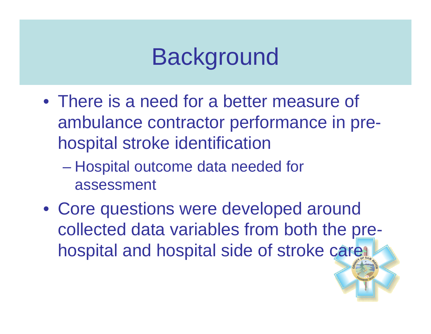# **Background**

- There is a need for a better measure of ambulance contractor performance in prehospital stroke identification
	- Hospital outcome data needed for assessment
- Core questions were developed around collected data variables from both the prehospital and hospital side of stroke care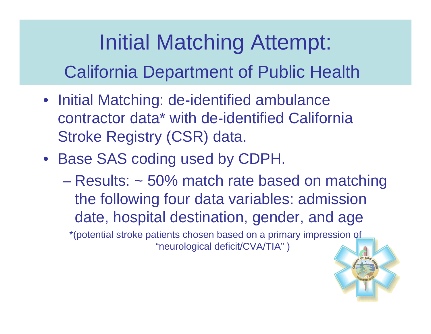### Initial Matching Attempt:

California Department of Public Health

- Initial Matching: de-identified ambulance contractor data\* with de-identified California Stroke Registry (CSR) data.
- Base SAS coding used by CDPH.
	- Results: ~ 50% match rate based on matching the following four data variables: admission date, hospital destination, gender, and age

\*(potential stroke patients chosen based on a primary impression of "neurological deficit/CVA/TIA" )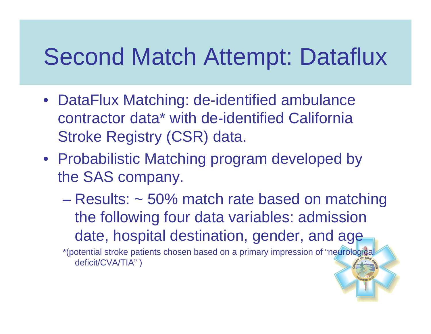## Second Match Attempt: Dataflux

- DataFlux Matching: de-identified ambulance contractor data\* with de-identified California Stroke Registry (CSR) data.
- Probabilistic Matching program developed by the SAS company.
	- Results: ~ 50% match rate based on matching the following four data variables: admission date, hospital destination, gender, and age

\*(potential stroke patients chosen based on a primary impression of "neurological deficit/CVA/TIA" )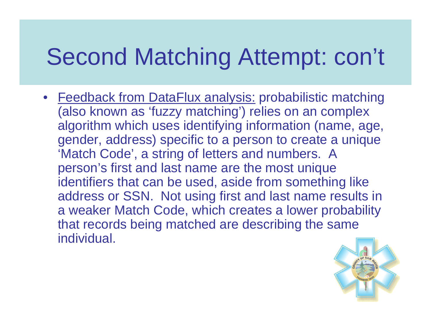# Second Matching Attempt: con't

• Feedback from DataFlux analysis: probabilistic matching (also known as 'fuzzy matching') relies on an complex algorithm which uses identifying information (name, age, gender, address) specific to a person to create a unique 'Match Code', a string of letters and numbers. A person's first and last name are the most unique identifiers that can be used, aside from something like address or SSN. Not using first and last name results in a weaker Match Code, which creates a lower probability that records being matched are describing the same individual.

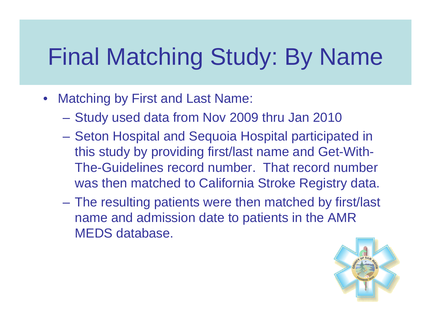# Final Matching Study: By Name

- $\bullet$  Matching by First and Last Name:
	- Study used data from Nov 2009 thru Jan 2010
	- Seton Hospital and Sequoia Hospital participated in this study by providing first/last name and Get-With-The-Guidelines record number. That record number was then matched to California Stroke Registry data.
	- The resulting patients were then matched by first/last name and admission date to patients in the AMR MEDS database.

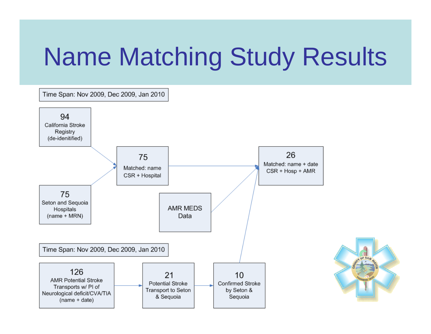# Name Matching Study Results

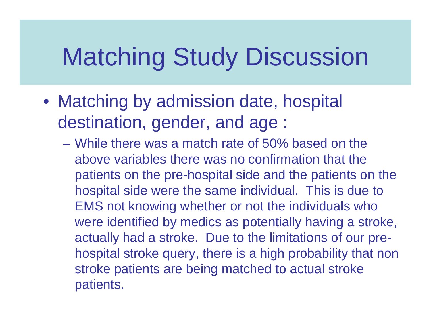# Matching Study Discussion

- Matching by admission date, hospital destination, gender, and age :
	- While there was a match rate of 50% based on the above variables there was no confirmation that the patients on the pre-hospital side and the patients on the hospital side were the same individual. This is due to EMS not knowing whether or not the individuals who were identified by medics as potentially having a stroke, actually had a stroke. Due to the limitations of our prehospital stroke query, there is a high probability that non stroke patients are being matched to actual stroke patients.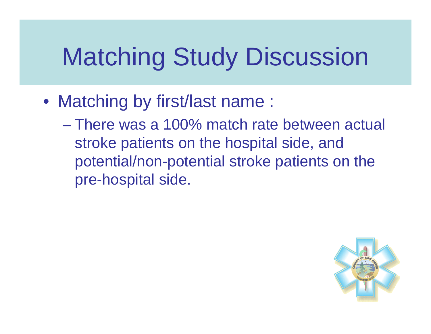# Matching Study Discussion

- Matching by first/last name :
	- There was a 100% match rate between actual stroke patients on the hospital side, and potential/non-potential stroke patients on the pre-hospital side.

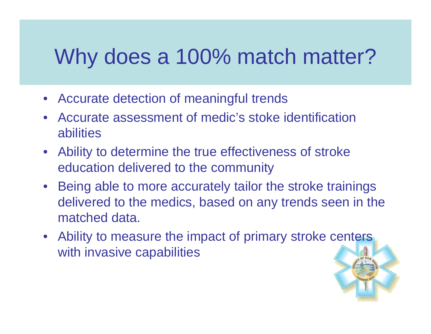#### Why does a 100% match matter?

- Accurate detection of meaningful trends
- $\bullet$  Accurate assessment of medic's stoke identification abilities
- $\bullet$  Ability to determine the true effectiveness of stroke education delivered to the community
- Being able to more accurately tailor the stroke trainings delivered to the medics, based on any trends seen in the matched data.
- Ability to measure the impact of primary stroke centers with invasive capabilities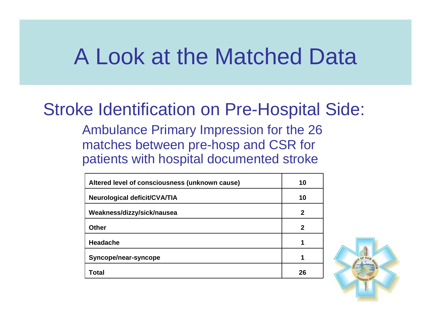#### Stroke Identification on Pre-Hospital Side:

Ambulance Primary Impression for the 26 matches between pre-hosp and CSR for patients with hospital documented stroke

| Altered level of consciousness (unknown cause) | 10 |
|------------------------------------------------|----|
| <b>Neurological deficit/CVA/TIA</b>            | 10 |
| Weakness/dizzy/sick/nausea                     | 2  |
| <b>Other</b>                                   | 2  |
| <b>Headache</b>                                | 1  |
| Syncope/near-syncope                           |    |
| Total                                          | 26 |

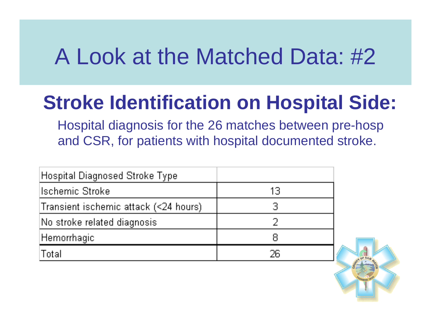#### **Stroke Identification on Hospital Side:**

Hospital diagnosis for the 26 matches between pre-hosp and CSR, for patients with hospital documented stroke.

| Hospital Diagnosed Stroke Type        |     |
|---------------------------------------|-----|
| <b>Ischemic Stroke</b>                | 13  |
| Transient ischemic attack (<24 hours) | 3   |
| No stroke related diagnosis           |     |
| Hemorrhagic                           |     |
| Total                                 | 26. |

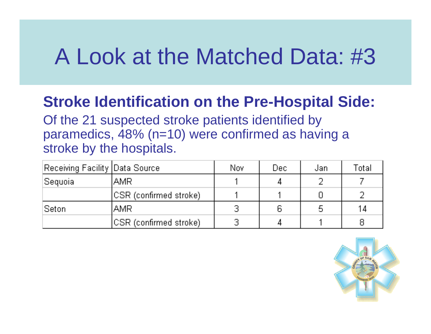#### **Stroke Identification on the Pre-Hospital Side:**

Of the 21 suspected stroke patients identified by paramedics, 48% (n=10) were confirmed as having a stroke by the hospitals.

| Receiving Facility  Data Source |                         | Nov | Dec: | Jan | $^\mathsf{T}$ otali |
|---------------------------------|-------------------------|-----|------|-----|---------------------|
| Sequoia                         | AMR                     |     |      |     |                     |
|                                 | ICSR (confirmed stroke) |     |      |     |                     |
| Seton                           | <b>AMR</b>              | Э   | ĥ    |     | 14                  |
|                                 | ICSR (confirmed stroke) | 3   |      |     | 8                   |

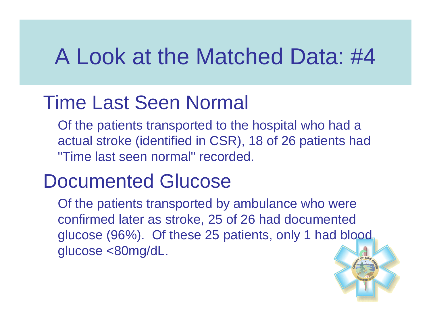#### Time Last Seen Normal

Of the patients transported to the hospital who had a actual stroke (identified in CSR), 18 of 26 patients had "Time last seen normal" recorded.

#### Documented Glucose

Of the patients transported by ambulance who were confirmed later as stroke, 25 of 26 had documented glucose (96%). Of these 25 patients, only 1 had blood glucose <80mg/dL.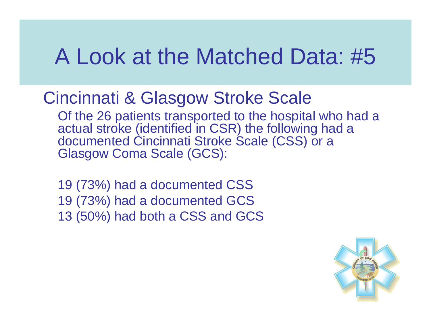#### Cincinnati & Glasgow Stroke Scale

Of the 26 patients transported to the hospital who had a actual stroke (identified in CSR) the following had a documented Cincinnati Stroke Scale (CSS) or a Glasgow Coma Scale (GCS):

19 (73%) had a documented CSS 19 (73%) had a documented GCS 13 (50%) had both a CSS and GCS

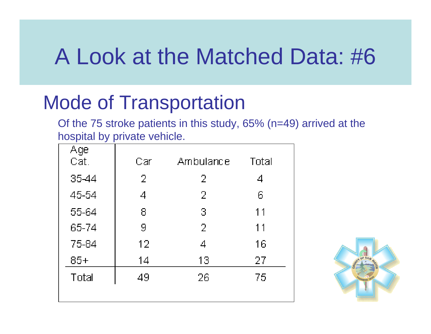#### Mode of Transportation

Of the 75 stroke patients in this study, 65% (n=49) arrived at the hospital by private vehicle.

| Age<br>Cat. | Car             | Ambulance      | Total |
|-------------|-----------------|----------------|-------|
| 35-44       | $\overline{2}$  | $\overline{2}$ | 4     |
| 45-54       | 4               | $\overline{2}$ | ĥ     |
| 55-64       | 8               | 3              | 11    |
| 65-74       | 9               | $\overline{2}$ | 11    |
| 75-84       | 12 <sub>1</sub> | 4              | 16    |
| $85+$       | 14              | 13             | 27    |
| Total       | 49              | 26             | 75    |
|             |                 |                |       |

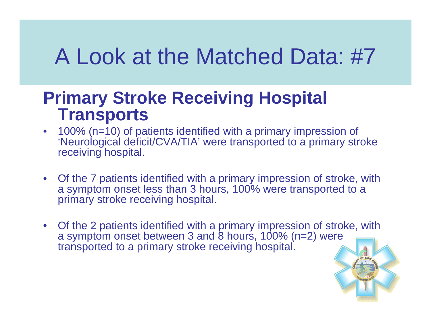#### **Primary Stroke Receiving Hospital Transports**

- 100% (n=10) of patients identified with a primary impression of 'Neurological deficit/CVA/TIA' were transported to a primary stroke receiving hospital.
- Of the 7 patients identified with a primary impression of stroke, with a symptom onset less than 3 hours, 100% were transported to a primary stroke receiving hospital.
- Of the 2 patients identified with a primary impression of stroke, with a symptom onset between 3 and  $\dot{\text{8}}$  hours, 100% (n=2) were transported to a primary stroke receiving hospital.

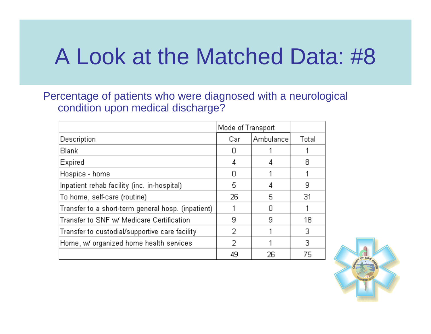Percentage of patients who were diagnosed with a neurological condition upon medical discharge?

|                                                    | Mode of Transport |           |       |
|----------------------------------------------------|-------------------|-----------|-------|
| Description                                        | Car               | Ambulance | Total |
| <b>Blank</b>                                       | П                 |           |       |
| Expired                                            | 4                 |           | 8     |
| Hospice - home                                     | Ω                 |           |       |
| Inpatient rehab facility (inc. in-hospital)        | 5.                | 4         | 9     |
| To home, self-care (routine).                      | 26                | 5         | 31    |
| Transfer to a short-term general hosp. (inpatient) |                   |           |       |
| Transfer to SNF w/ Medicare Certification          | 9                 | 9         | 18    |
| Transfer to custodial/supportive care facility     | 2                 |           | 3     |
| Home, w/ organized home health services            | 2                 |           | 3.    |
|                                                    | 49                | 26        | 75    |

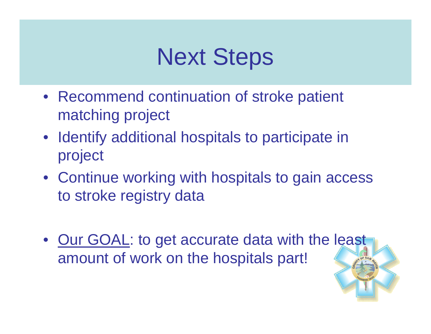# Next Steps

- Recommend continuation of stroke patient matching project
- Identify additional hospitals to participate in project
- Continue working with hospitals to gain access to stroke registry data
- Our GOAL: to get accurate data with the least amount of work on the hospitals part!